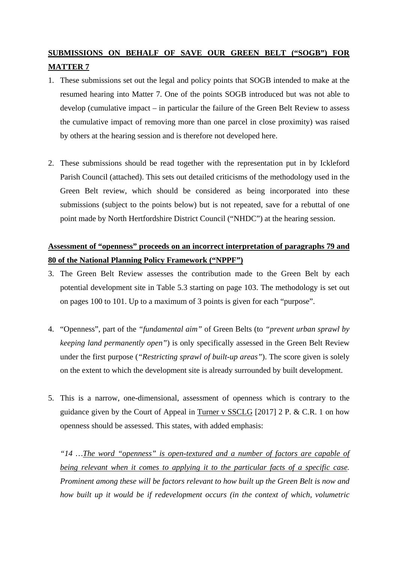## **SUBMISSIONS ON BEHALF OF SAVE OUR GREEN BELT ("SOGB") FOR MATTER 7**

- 1. These submissions set out the legal and policy points that SOGB intended to make at the resumed hearing into Matter 7. One of the points SOGB introduced but was not able to develop (cumulative impact – in particular the failure of the Green Belt Review to assess the cumulative impact of removing more than one parcel in close proximity) was raised by others at the hearing session and is therefore not developed here.
- 2. These submissions should be read together with the representation put in by Ickleford Parish Council (attached). This sets out detailed criticisms of the methodology used in the Green Belt review, which should be considered as being incorporated into these submissions (subject to the points below) but is not repeated, save for a rebuttal of one point made by North Hertfordshire District Council ("NHDC") at the hearing session.

## **Assessment of "openness" proceeds on an incorrect interpretation of paragraphs 79 and 80 of the National Planning Policy Framework ("NPPF")**

- 3. The Green Belt Review assesses the contribution made to the Green Belt by each potential development site in Table 5.3 starting on page 103. The methodology is set out on pages 100 to 101. Up to a maximum of 3 points is given for each "purpose".
- 4. "Openness", part of the *"fundamental aim"* of Green Belts (to *"prevent urban sprawl by keeping land permanently open"*) is only specifically assessed in the Green Belt Review under the first purpose (*"Restricting sprawl of built-up areas"*). The score given is solely on the extent to which the development site is already surrounded by built development.
- 5. This is a narrow, one-dimensional, assessment of openness which is contrary to the guidance given by the Court of Appeal in Turner v SSCLG [2017] 2 P. & C.R. 1 on how openness should be assessed. This states, with added emphasis:

*"14 …The word "openness" is open-textured and a number of factors are capable of being relevant when it comes to applying it to the particular facts of a specific case. Prominent among these will be factors relevant to how built up the Green Belt is now and how built up it would be if redevelopment occurs (in the context of which, volumetric*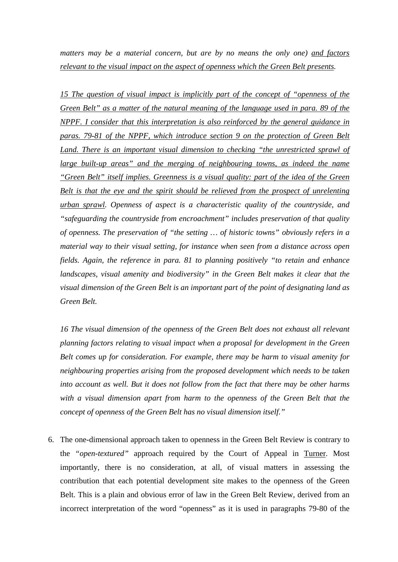*matters may be a material concern, but are by no means the only one) and factors relevant to the visual impact on the aspect of openness which the Green Belt presents.* 

*15 The question of visual impact is implicitly part of the concept of "openness of the Green Belt" as a matter of the natural meaning of the language used in para. 89 of the NPPF. I consider that this interpretation is also reinforced by the general guidance in paras. 79-81 of the NPPF, which introduce section 9 on the protection of Green Belt*  Land. There is an important visual dimension to checking "the unrestricted sprawl of *large built-up areas" and the merging of neighbouring towns, as indeed the name "Green Belt" itself implies. Greenness is a visual quality: part of the idea of the Green Belt is that the eye and the spirit should be relieved from the prospect of unrelenting urban sprawl. Openness of aspect is a characteristic quality of the countryside, and "safeguarding the countryside from encroachment" includes preservation of that quality of openness. The preservation of "the setting … of historic towns" obviously refers in a material way to their visual setting, for instance when seen from a distance across open fields. Again, the reference in para. 81 to planning positively "to retain and enhance landscapes, visual amenity and biodiversity" in the Green Belt makes it clear that the visual dimension of the Green Belt is an important part of the point of designating land as Green Belt.* 

*16 The visual dimension of the openness of the Green Belt does not exhaust all relevant planning factors relating to visual impact when a proposal for development in the Green Belt comes up for consideration. For example, there may be harm to visual amenity for neighbouring properties arising from the proposed development which needs to be taken into account as well. But it does not follow from the fact that there may be other harms with a visual dimension apart from harm to the openness of the Green Belt that the concept of openness of the Green Belt has no visual dimension itself."* 

6. The one-dimensional approach taken to openness in the Green Belt Review is contrary to the *"open-textured"* approach required by the Court of Appeal in Turner. Most importantly, there is no consideration, at all, of visual matters in assessing the contribution that each potential development site makes to the openness of the Green Belt. This is a plain and obvious error of law in the Green Belt Review, derived from an incorrect interpretation of the word "openness" as it is used in paragraphs 79-80 of the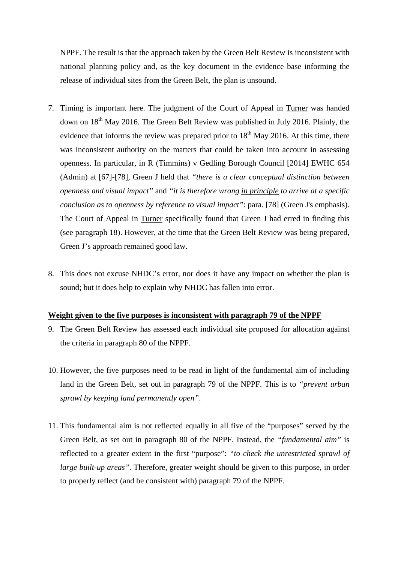NPPF. The result is that the approach taken by the Green Belt Review is inconsistent with national planning policy and, as the key document in the evidence base informing the release of individual sites from the Green Belt, the plan is unsound.

- 7. Timing is important here. The judgment of the Court of Appeal in Turner was handed down on 18<sup>th</sup> May 2016. The Green Belt Review was published in July 2016. Plainly, the evidence that informs the review was prepared prior to  $18<sup>th</sup>$  May 2016. At this time, there was inconsistent authority on the matters that could be taken into account in assessing openness. In particular, in R (Timmins) v Gedling Borough Council [2014] EWHC 654 (Admin) at [67]-[78], Green J held that *"there is a clear conceptual distinction between openness and visual impact"* and *"it is therefore wrong in principle to arrive at a specific conclusion as to openness by reference to visual impact*": para. [78] (Green J's emphasis). The Court of Appeal in Turner specifically found that Green J had erred in finding this (see paragraph 18). However, at the time that the Green Belt Review was being prepared, Green J's approach remained good law.
- 8. This does not excuse NHDC's error, nor does it have any impact on whether the plan is sound; but it does help to explain why NHDC has fallen into error.

## **Weight given to the five purposes is inconsistent with paragraph 79 of the NPPF**

- 9. The Green Belt Review has assessed each individual site proposed for allocation against the criteria in paragraph 80 of the NPPF.
- 10. However, the five purposes need to be read in light of the fundamental aim of including land in the Green Belt, set out in paragraph 79 of the NPPF. This is to *"prevent urban sprawl by keeping land permanently open"*.
- 11. This fundamental aim is not reflected equally in all five of the "purposes" served by the Green Belt, as set out in paragraph 80 of the NPPF. Instead, the *"fundamental aim"* is reflected to a greater extent in the first "purpose": *"to check the unrestricted sprawl of large built-up areas"*. Therefore, greater weight should be given to this purpose, in order to properly reflect (and be consistent with) paragraph 79 of the NPPF.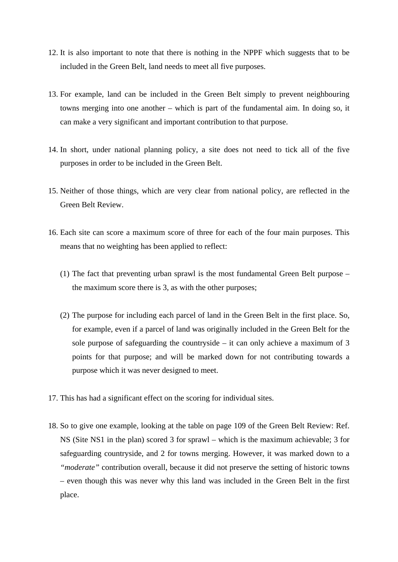- 12. It is also important to note that there is nothing in the NPPF which suggests that to be included in the Green Belt, land needs to meet all five purposes.
- 13. For example, land can be included in the Green Belt simply to prevent neighbouring towns merging into one another – which is part of the fundamental aim. In doing so, it can make a very significant and important contribution to that purpose.
- 14. In short, under national planning policy, a site does not need to tick all of the five purposes in order to be included in the Green Belt.
- 15. Neither of those things, which are very clear from national policy, are reflected in the Green Belt Review.
- 16. Each site can score a maximum score of three for each of the four main purposes. This means that no weighting has been applied to reflect:
	- (1) The fact that preventing urban sprawl is the most fundamental Green Belt purpose the maximum score there is 3, as with the other purposes;
	- (2) The purpose for including each parcel of land in the Green Belt in the first place. So, for example, even if a parcel of land was originally included in the Green Belt for the sole purpose of safeguarding the countryside  $-$  it can only achieve a maximum of 3 points for that purpose; and will be marked down for not contributing towards a purpose which it was never designed to meet.
- 17. This has had a significant effect on the scoring for individual sites.
- 18. So to give one example, looking at the table on page 109 of the Green Belt Review: Ref. NS (Site NS1 in the plan) scored 3 for sprawl – which is the maximum achievable; 3 for safeguarding countryside, and 2 for towns merging. However, it was marked down to a *"moderate"* contribution overall, because it did not preserve the setting of historic towns – even though this was never why this land was included in the Green Belt in the first place.